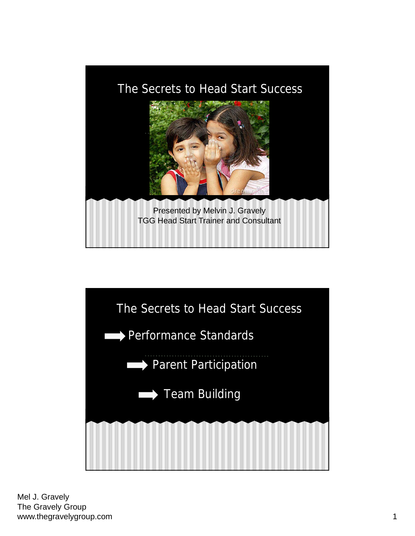

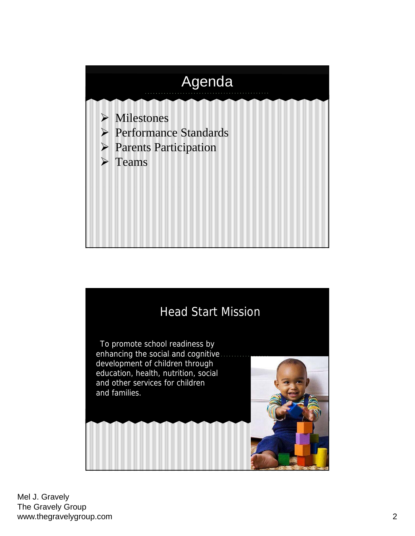

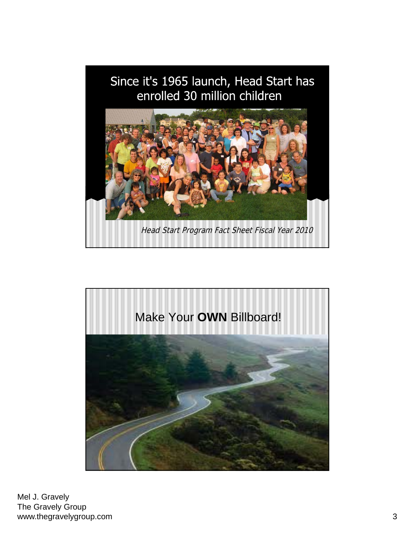

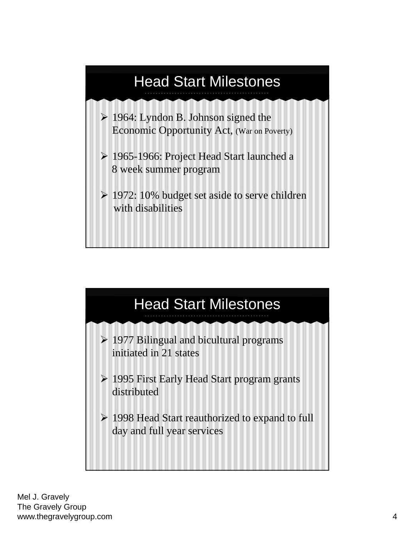

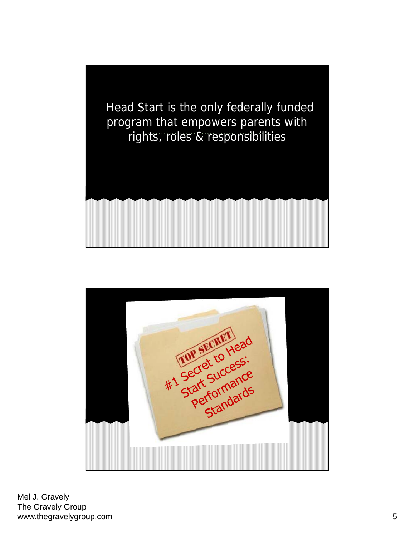

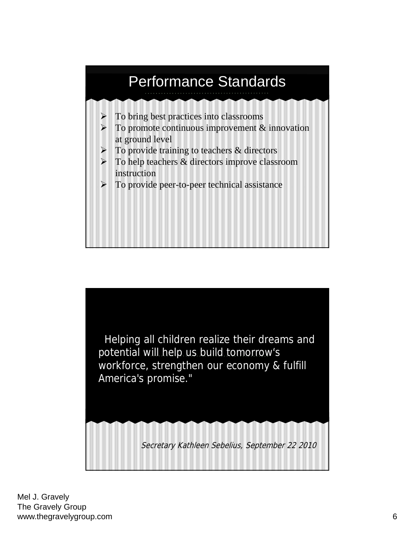

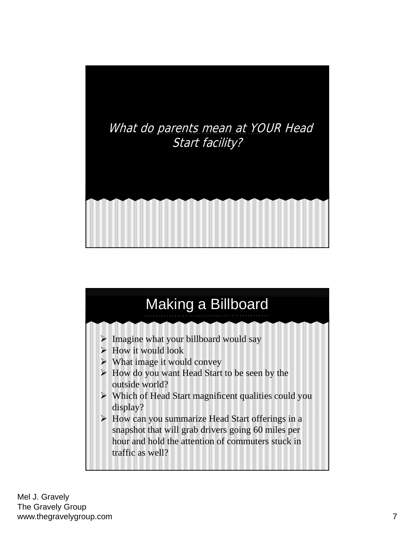

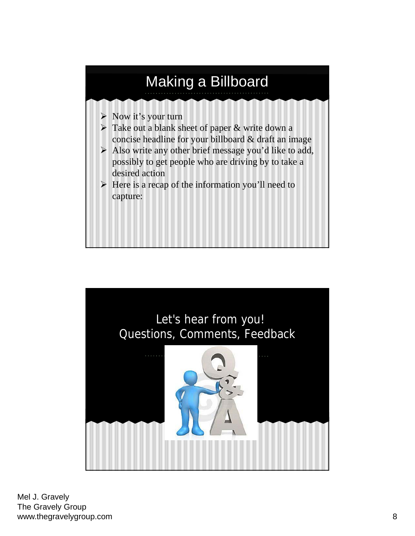

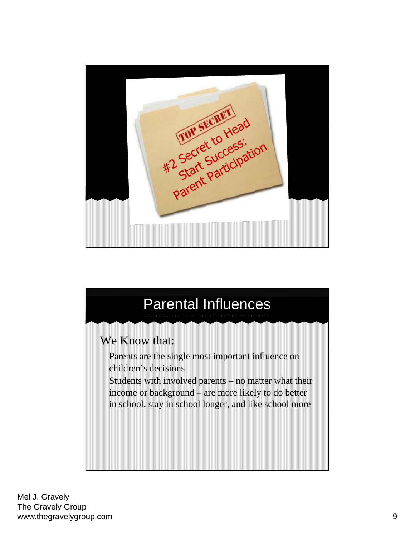

## We Know that: Parental Influences Parents are the single most important influence on children's decisions Students with involved parents – no matter what their income or background – are more likely to do better in school, stay in school longer, and like school more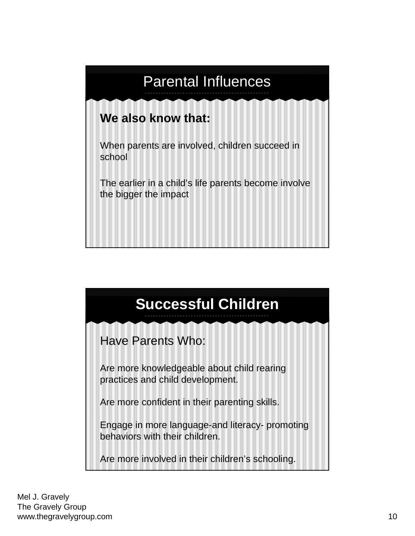

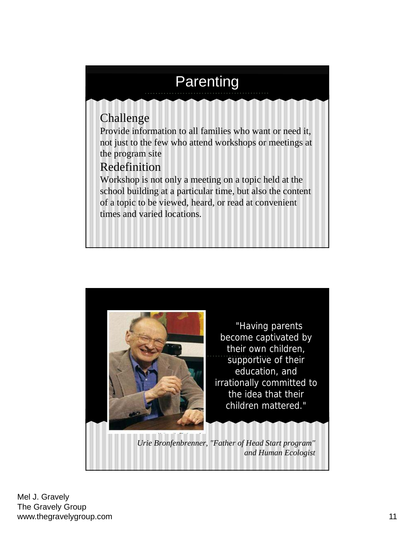#### Challenge **Parenting** Provide information to all families who want or need it, not just to the few who attend workshops or meetings at the program site Redefinition Workshop is not only a meeting on a topic held at the school building at a particular time, but also the content of a topic to be viewed, heard, or read at convenient times and varied locations.



"Having parents become captivated by their own children, supportive of their education, and irrationally committed to the idea that their children mattered."

*Urie Bronfenbrenner, "Father of Head Start program" and Human Ecologist*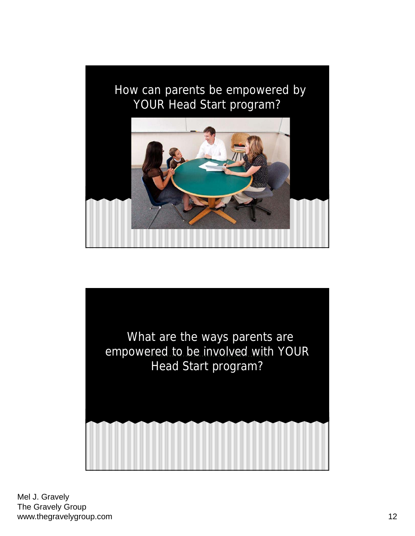# How can parents be empowered by YOUR Head Start program?

What are the ways parents are empowered to be involved with YOUR Head Start program?

Mel J. Gravely The Gravely Group www.thegravelygroup.com and the state of the state of the state of the state of the state of the state of the state of the state of the state of the state of the state of the state of the state of the state of the state of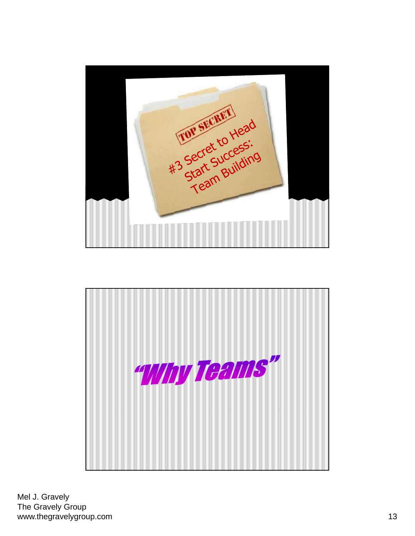

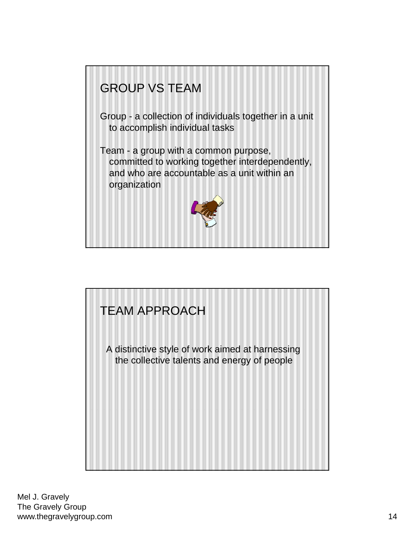

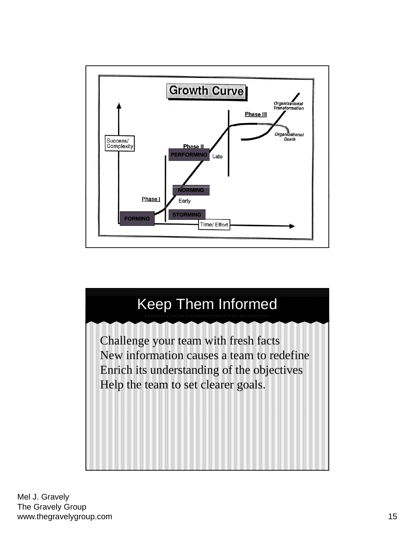

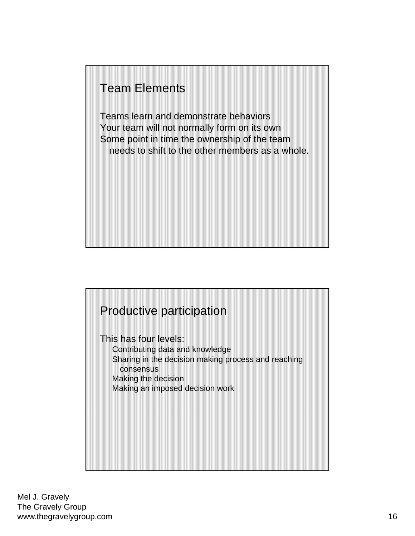#### Team Elements

Teams learn and demonstrate behaviors Your team will not normally form on its own Some point in time the ownership of the team needs to shift to the other members as a whole.

#### Productive participation

This has four levels: Contributing data and knowledge Sharing in the decision making process and reaching consensus Making the decision Making an imposed decision work

Mel J. Gravely The Gravely Group www.thegravelygroup.com and the state of the state of the state of the state of the state of the state of the state of the state of the state of the state of the state of the state of the state of the state of the state of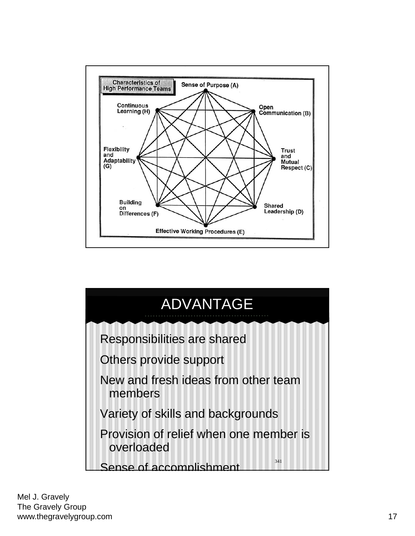